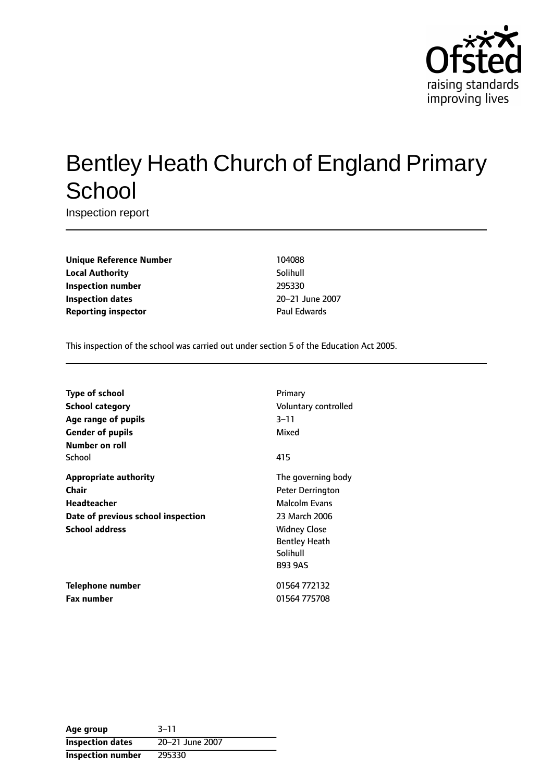

# Bentley Heath Church of England Primary **School**

Inspection report

**Unique Reference Number** 104088 **Local Authority** Solihull **Inspection number** 295330 **Inspection dates** 20-21 June 2007 **Reporting inspector CONSERVING PAUL EDWARDS** 

This inspection of the school was carried out under section 5 of the Education Act 2005.

| <b>Type of school</b>              | Primary                 |
|------------------------------------|-------------------------|
| <b>School category</b>             | Voluntary controlled    |
| Age range of pupils                | $3 - 11$                |
| <b>Gender of pupils</b>            | Mixed                   |
| Number on roll                     |                         |
| School                             | 415                     |
| <b>Appropriate authority</b>       | The governing body      |
| Chair                              | <b>Peter Derrington</b> |
| Headteacher                        | <b>Malcolm Evans</b>    |
| Date of previous school inspection | 23 March 2006           |
| <b>School address</b>              | <b>Widney Close</b>     |
|                                    | <b>Bentley Heath</b>    |
|                                    | Solihull                |
|                                    | <b>B93 9AS</b>          |
| Telephone number                   | 01564 772132            |
| <b>Fax number</b>                  | 01564 775708            |

| Age group                | $3 - 11$        |
|--------------------------|-----------------|
| <b>Inspection dates</b>  | 20-21 June 2007 |
| <b>Inspection number</b> | 295330          |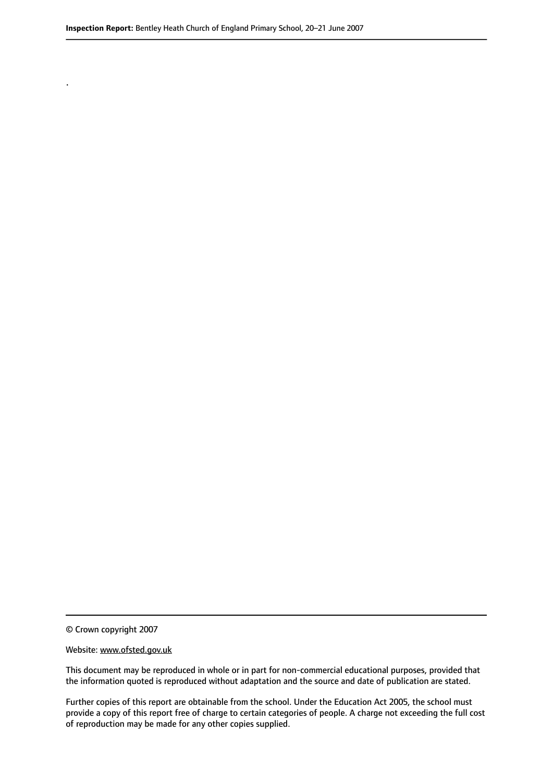© Crown copyright 2007

.

#### Website: www.ofsted.gov.uk

This document may be reproduced in whole or in part for non-commercial educational purposes, provided that the information quoted is reproduced without adaptation and the source and date of publication are stated.

Further copies of this report are obtainable from the school. Under the Education Act 2005, the school must provide a copy of this report free of charge to certain categories of people. A charge not exceeding the full cost of reproduction may be made for any other copies supplied.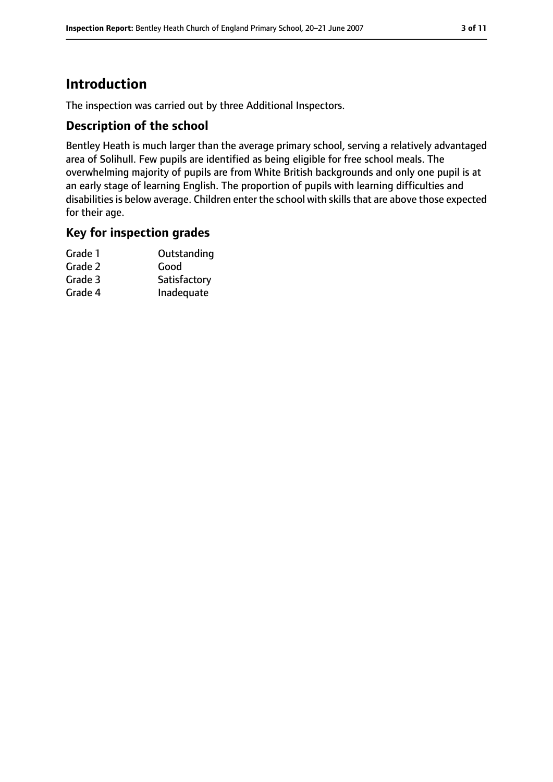# **Introduction**

The inspection was carried out by three Additional Inspectors.

### **Description of the school**

Bentley Heath is much larger than the average primary school, serving a relatively advantaged area of Solihull. Few pupils are identified as being eligible for free school meals. The overwhelming majority of pupils are from White British backgrounds and only one pupil is at an early stage of learning English. The proportion of pupils with learning difficulties and disabilities is below average. Children enter the school with skills that are above those expected for their age.

#### **Key for inspection grades**

| Grade 1 | Outstanding  |
|---------|--------------|
| Grade 2 | Good         |
| Grade 3 | Satisfactory |
| Grade 4 | Inadequate   |
|         |              |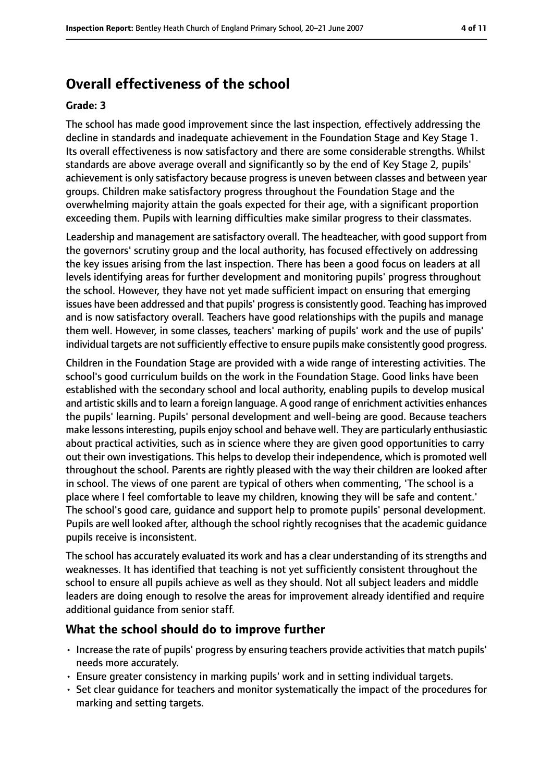# **Overall effectiveness of the school**

#### **Grade: 3**

The school has made good improvement since the last inspection, effectively addressing the decline in standards and inadequate achievement in the Foundation Stage and Key Stage 1. Its overall effectiveness is now satisfactory and there are some considerable strengths. Whilst standards are above average overall and significantly so by the end of Key Stage 2, pupils' achievement is only satisfactory because progress is uneven between classes and between year groups. Children make satisfactory progress throughout the Foundation Stage and the overwhelming majority attain the goals expected for their age, with a significant proportion exceeding them. Pupils with learning difficulties make similar progress to their classmates.

Leadership and management are satisfactory overall. The headteacher, with good support from the governors' scrutiny group and the local authority, has focused effectively on addressing the key issues arising from the last inspection. There has been a good focus on leaders at all levels identifying areas for further development and monitoring pupils' progress throughout the school. However, they have not yet made sufficient impact on ensuring that emerging issues have been addressed and that pupils' progress is consistently good. Teaching has improved and is now satisfactory overall. Teachers have good relationships with the pupils and manage them well. However, in some classes, teachers' marking of pupils' work and the use of pupils' individual targets are not sufficiently effective to ensure pupils make consistently good progress.

Children in the Foundation Stage are provided with a wide range of interesting activities. The school's good curriculum builds on the work in the Foundation Stage. Good links have been established with the secondary school and local authority, enabling pupils to develop musical and artistic skills and to learn a foreign language. A good range of enrichment activities enhances the pupils' learning. Pupils' personal development and well-being are good. Because teachers make lessons interesting, pupils enjoy school and behave well. They are particularly enthusiastic about practical activities, such as in science where they are given good opportunities to carry out their own investigations. This helps to develop their independence, which is promoted well throughout the school. Parents are rightly pleased with the way their children are looked after in school. The views of one parent are typical of others when commenting, 'The school is a place where I feel comfortable to leave my children, knowing they will be safe and content.' The school's good care, guidance and support help to promote pupils' personal development. Pupils are well looked after, although the school rightly recognises that the academic guidance pupils receive is inconsistent.

The school has accurately evaluated its work and has a clear understanding of its strengths and weaknesses. It has identified that teaching is not yet sufficiently consistent throughout the school to ensure all pupils achieve as well as they should. Not all subject leaders and middle leaders are doing enough to resolve the areas for improvement already identified and require additional guidance from senior staff.

#### **What the school should do to improve further**

- Increase the rate of pupils' progress by ensuring teachers provide activities that match pupils' needs more accurately.
- Ensure greater consistency in marking pupils' work and in setting individual targets.
- Set clear guidance for teachers and monitor systematically the impact of the procedures for marking and setting targets.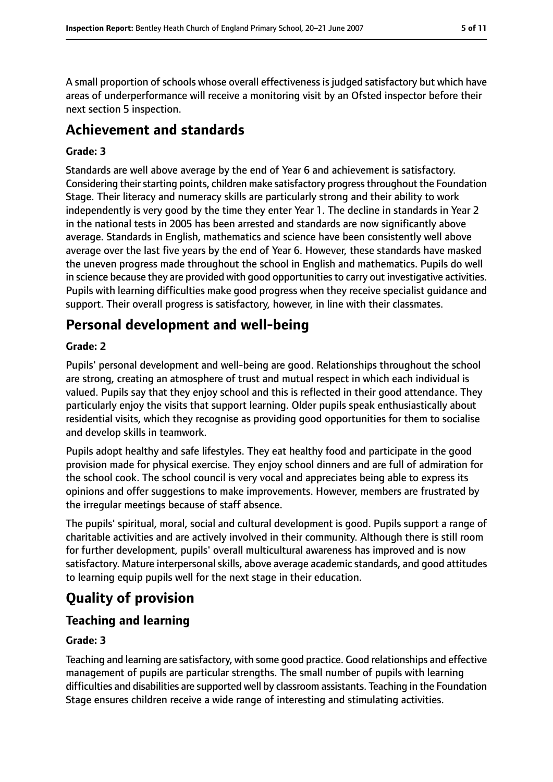A small proportion of schools whose overall effectiveness is judged satisfactory but which have areas of underperformance will receive a monitoring visit by an Ofsted inspector before their next section 5 inspection.

# **Achievement and standards**

#### **Grade: 3**

Standards are well above average by the end of Year 6 and achievement is satisfactory. Considering their starting points, children make satisfactory progress throughout the Foundation Stage. Their literacy and numeracy skills are particularly strong and their ability to work independently is very good by the time they enter Year 1. The decline in standards in Year 2 in the national tests in 2005 has been arrested and standards are now significantly above average. Standards in English, mathematics and science have been consistently well above average over the last five years by the end of Year 6. However, these standards have masked the uneven progress made throughout the school in English and mathematics. Pupils do well in science because they are provided with good opportunities to carry out investigative activities. Pupils with learning difficulties make good progress when they receive specialist guidance and support. Their overall progress is satisfactory, however, in line with their classmates.

# **Personal development and well-being**

#### **Grade: 2**

Pupils' personal development and well-being are good. Relationships throughout the school are strong, creating an atmosphere of trust and mutual respect in which each individual is valued. Pupils say that they enjoy school and this is reflected in their good attendance. They particularly enjoy the visits that support learning. Older pupils speak enthusiastically about residential visits, which they recognise as providing good opportunities for them to socialise and develop skills in teamwork.

Pupils adopt healthy and safe lifestyles. They eat healthy food and participate in the good provision made for physical exercise. They enjoy school dinners and are full of admiration for the school cook. The school council is very vocal and appreciates being able to express its opinions and offer suggestions to make improvements. However, members are frustrated by the irregular meetings because of staff absence.

The pupils' spiritual, moral, social and cultural development is good. Pupils support a range of charitable activities and are actively involved in their community. Although there is still room for further development, pupils' overall multicultural awareness has improved and is now satisfactory. Mature interpersonal skills, above average academic standards, and good attitudes to learning equip pupils well for the next stage in their education.

# **Quality of provision**

#### **Teaching and learning**

#### **Grade: 3**

Teaching and learning are satisfactory, with some good practice. Good relationships and effective management of pupils are particular strengths. The small number of pupils with learning difficulties and disabilities are supported well by classroom assistants. Teaching in the Foundation Stage ensures children receive a wide range of interesting and stimulating activities.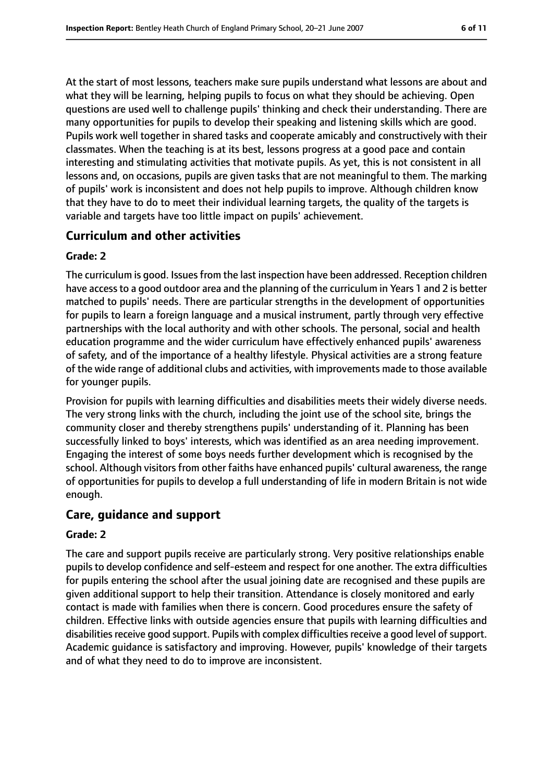At the start of most lessons, teachers make sure pupils understand what lessons are about and what they will be learning, helping pupils to focus on what they should be achieving. Open questions are used well to challenge pupils' thinking and check their understanding. There are many opportunities for pupils to develop their speaking and listening skills which are good. Pupils work well together in shared tasks and cooperate amicably and constructively with their classmates. When the teaching is at its best, lessons progress at a good pace and contain interesting and stimulating activities that motivate pupils. As yet, this is not consistent in all lessons and, on occasions, pupils are given tasks that are not meaningful to them. The marking of pupils' work is inconsistent and does not help pupils to improve. Although children know that they have to do to meet their individual learning targets, the quality of the targets is variable and targets have too little impact on pupils' achievement.

#### **Curriculum and other activities**

#### **Grade: 2**

The curriculum is good. Issues from the last inspection have been addressed. Reception children have access to a good outdoor area and the planning of the curriculum in Years 1 and 2 is better matched to pupils' needs. There are particular strengths in the development of opportunities for pupils to learn a foreign language and a musical instrument, partly through very effective partnerships with the local authority and with other schools. The personal, social and health education programme and the wider curriculum have effectively enhanced pupils' awareness of safety, and of the importance of a healthy lifestyle. Physical activities are a strong feature of the wide range of additional clubs and activities, with improvements made to those available for younger pupils.

Provision for pupils with learning difficulties and disabilities meets their widely diverse needs. The very strong links with the church, including the joint use of the school site, brings the community closer and thereby strengthens pupils' understanding of it. Planning has been successfully linked to boys' interests, which was identified as an area needing improvement. Engaging the interest of some boys needs further development which is recognised by the school. Although visitors from other faiths have enhanced pupils' cultural awareness, the range of opportunities for pupils to develop a full understanding of life in modern Britain is not wide enough.

#### **Care, guidance and support**

#### **Grade: 2**

The care and support pupils receive are particularly strong. Very positive relationships enable pupils to develop confidence and self-esteem and respect for one another. The extra difficulties for pupils entering the school after the usual joining date are recognised and these pupils are given additional support to help their transition. Attendance is closely monitored and early contact is made with families when there is concern. Good procedures ensure the safety of children. Effective links with outside agencies ensure that pupils with learning difficulties and disabilities receive good support. Pupils with complex difficulties receive a good level of support. Academic guidance is satisfactory and improving. However, pupils' knowledge of their targets and of what they need to do to improve are inconsistent.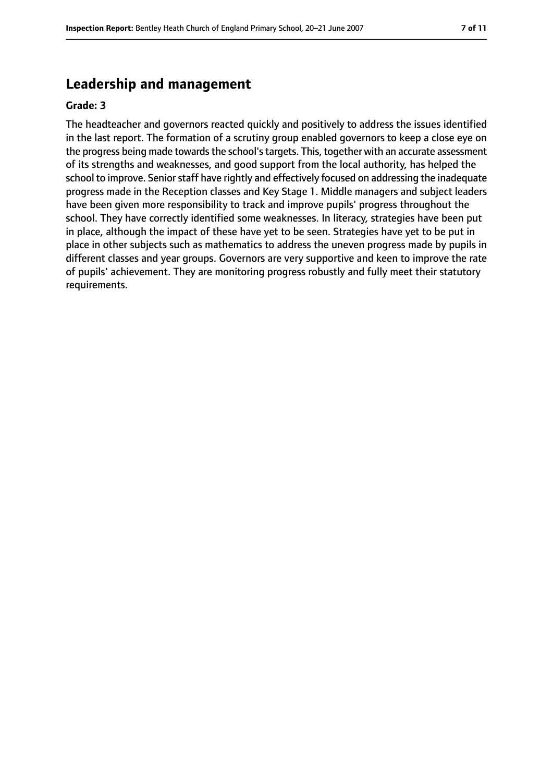## **Leadership and management**

#### **Grade: 3**

The headteacher and governors reacted quickly and positively to address the issues identified in the last report. The formation of a scrutiny group enabled governors to keep a close eye on the progress being made towards the school's targets. This, together with an accurate assessment of its strengths and weaknesses, and good support from the local authority, has helped the school to improve. Senior staff have rightly and effectively focused on addressing the inadequate progress made in the Reception classes and Key Stage 1. Middle managers and subject leaders have been given more responsibility to track and improve pupils' progress throughout the school. They have correctly identified some weaknesses. In literacy, strategies have been put in place, although the impact of these have yet to be seen. Strategies have yet to be put in place in other subjects such as mathematics to address the uneven progress made by pupils in different classes and year groups. Governors are very supportive and keen to improve the rate of pupils' achievement. They are monitoring progress robustly and fully meet their statutory requirements.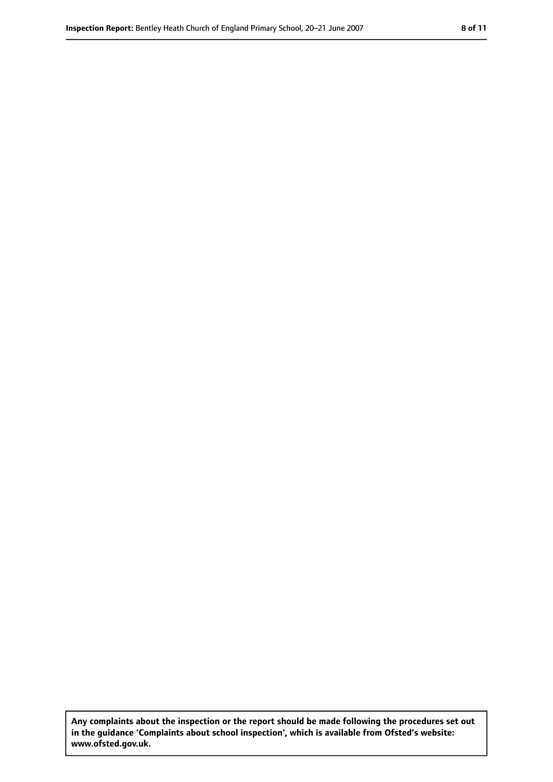**Any complaints about the inspection or the report should be made following the procedures set out in the guidance 'Complaints about school inspection', which is available from Ofsted's website: www.ofsted.gov.uk.**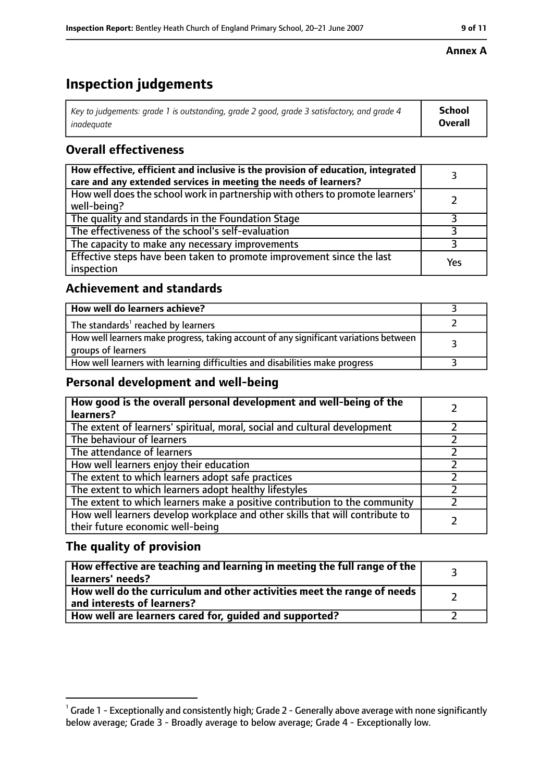# **Inspection judgements**

| Key to judgements: grade 1 is outstanding, grade 2 good, grade 3 satisfactory, and grade 4 | <b>School</b>  |
|--------------------------------------------------------------------------------------------|----------------|
| inadeauate                                                                                 | <b>Overall</b> |

## **Overall effectiveness**

| How effective, efficient and inclusive is the provision of education, integrated<br>care and any extended services in meeting the needs of learners? |     |
|------------------------------------------------------------------------------------------------------------------------------------------------------|-----|
| How well does the school work in partnership with others to promote learners'<br>well-being?                                                         |     |
| The quality and standards in the Foundation Stage                                                                                                    |     |
| The effectiveness of the school's self-evaluation                                                                                                    |     |
| The capacity to make any necessary improvements                                                                                                      |     |
| Effective steps have been taken to promote improvement since the last<br>inspection                                                                  | Yes |

## **Achievement and standards**

| How well do learners achieve?                                                                               |  |
|-------------------------------------------------------------------------------------------------------------|--|
| The standards <sup>1</sup> reached by learners                                                              |  |
| How well learners make progress, taking account of any significant variations between<br>groups of learners |  |
| How well learners with learning difficulties and disabilities make progress                                 |  |

## **Personal development and well-being**

| How good is the overall personal development and well-being of the<br>learners?                                  |  |
|------------------------------------------------------------------------------------------------------------------|--|
| The extent of learners' spiritual, moral, social and cultural development                                        |  |
| The behaviour of learners                                                                                        |  |
| The attendance of learners                                                                                       |  |
| How well learners enjoy their education                                                                          |  |
| The extent to which learners adopt safe practices                                                                |  |
| The extent to which learners adopt healthy lifestyles                                                            |  |
| The extent to which learners make a positive contribution to the community                                       |  |
| How well learners develop workplace and other skills that will contribute to<br>their future economic well-being |  |

## **The quality of provision**

| How effective are teaching and learning in meeting the full range of the<br>learners' needs?          |  |
|-------------------------------------------------------------------------------------------------------|--|
| How well do the curriculum and other activities meet the range of needs<br>and interests of learners? |  |
| How well are learners cared for, guided and supported?                                                |  |

#### **Annex A**

 $^1$  Grade 1 - Exceptionally and consistently high; Grade 2 - Generally above average with none significantly below average; Grade 3 - Broadly average to below average; Grade 4 - Exceptionally low.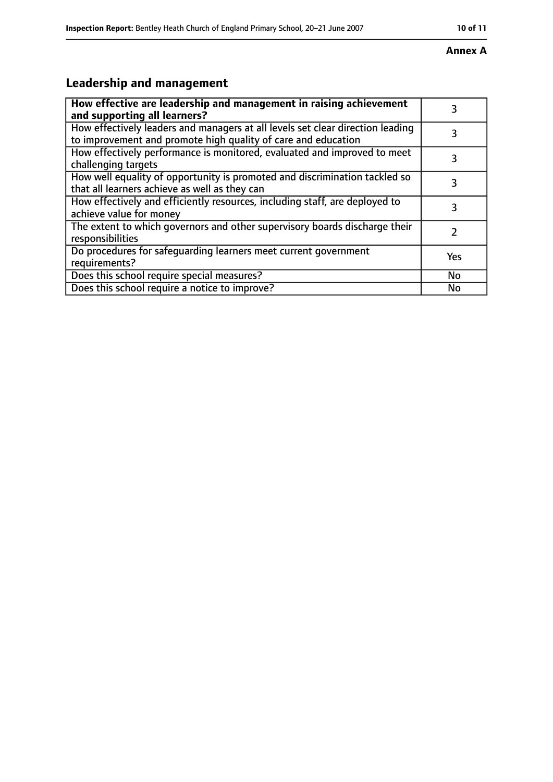#### **Annex A**

# **Leadership and management**

| How effective are leadership and management in raising achievement<br>and supporting all learners?                                              | 3   |
|-------------------------------------------------------------------------------------------------------------------------------------------------|-----|
| How effectively leaders and managers at all levels set clear direction leading<br>to improvement and promote high quality of care and education |     |
| How effectively performance is monitored, evaluated and improved to meet<br>challenging targets                                                 | 3   |
| How well equality of opportunity is promoted and discrimination tackled so<br>that all learners achieve as well as they can                     | 3   |
| How effectively and efficiently resources, including staff, are deployed to<br>achieve value for money                                          | 3   |
| The extent to which governors and other supervisory boards discharge their<br>responsibilities                                                  | 7   |
| Do procedures for safequarding learners meet current government<br>requirements?                                                                | Yes |
| Does this school require special measures?                                                                                                      | No  |
| Does this school require a notice to improve?                                                                                                   | Nο  |